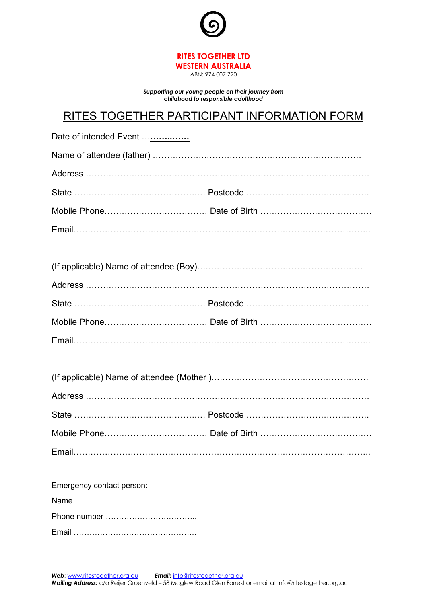

ABN: 974 007 720

*Supporting our young people on their journey from childhood to responsible adulthood*

## RITES TOGETHER PARTICIPANT INFORMATION FORM

| Date of intended Event |  |
|------------------------|--|
|                        |  |
|                        |  |
|                        |  |
|                        |  |
|                        |  |

| Emergency contact person: |
|---------------------------|
|                           |
|                           |
|                           |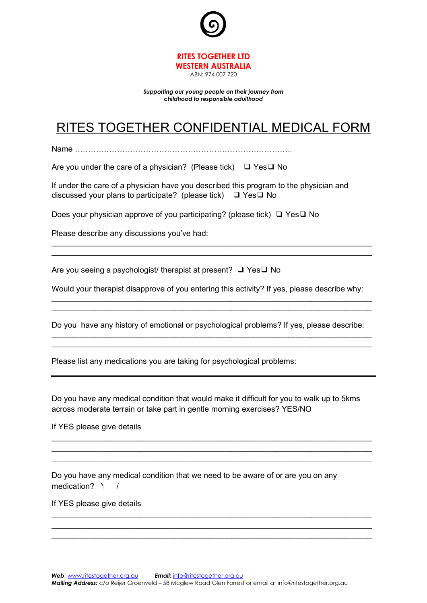

*Supporting our young people on their journey from childhood to responsible adulthood*

## RITES TOGETHER CONFIDENTIAL MEDICAL FORM

Name ………………………………………………………………………..

Are you under the care of a physician? (Please tick) ❑ Yes❑ No

If under the care of a physician have you described this program to the physician and discussed your plans to participate? (please tick) ❑ Yes❑ No

Does your physician approve of you participating? (please tick) ❑ Yes❑ No

Please describe any discussions you've had:

Are you seeing a psychologist/ therapist at present? ❑ Yes❑ No

Would your therapist disapprove of you entering this activity? If yes, please describe why: \_\_\_\_\_\_\_\_\_\_\_\_\_\_\_\_\_\_\_\_\_\_\_\_\_\_\_\_\_\_\_\_\_\_\_\_\_\_\_\_\_\_\_\_\_\_\_\_\_\_\_\_\_\_\_\_\_\_\_\_\_\_\_\_\_\_\_\_\_\_\_\_\_

\_\_\_\_\_\_\_\_\_\_\_\_\_\_\_\_\_\_\_\_\_\_\_\_\_\_\_\_\_\_\_\_\_\_\_\_\_\_\_\_\_\_\_\_\_\_\_\_\_\_\_\_\_\_\_\_\_\_\_\_\_\_\_\_\_\_\_\_\_\_\_\_\_ \_\_\_\_\_\_\_\_\_\_\_\_\_\_\_\_\_\_\_\_\_\_\_\_\_\_\_\_\_\_\_\_\_\_\_\_\_\_\_\_\_\_\_\_\_\_\_\_\_\_\_\_\_\_\_\_\_\_\_\_\_\_\_\_\_\_\_\_\_\_\_\_\_

Do you have any history of emotional or psychological problems? If yes, please describe: \_\_\_\_\_\_\_\_\_\_\_\_\_\_\_\_\_\_\_\_\_\_\_\_\_\_\_\_\_\_\_\_\_\_\_\_\_\_\_\_\_\_\_\_\_\_\_\_\_\_\_\_\_\_\_\_\_\_\_\_\_\_\_\_\_\_\_\_\_\_\_\_\_

\_\_\_\_\_\_\_\_\_\_\_\_\_\_\_\_\_\_\_\_\_\_\_\_\_\_\_\_\_\_\_\_\_\_\_\_\_\_\_\_\_\_\_\_\_\_\_\_\_\_\_\_\_\_\_\_\_\_\_\_\_\_\_\_\_\_\_\_\_\_\_\_\_

\_\_\_\_\_\_\_\_\_\_\_\_\_\_\_\_\_\_\_\_\_\_\_\_\_\_\_\_\_\_\_\_\_\_\_\_\_\_\_\_\_\_\_\_\_\_\_\_\_\_\_\_\_\_\_\_\_\_\_\_\_\_\_\_\_\_\_\_\_\_\_\_\_

Please list any medications you are taking for psychological problems:

Do you have any medical condition that would make it difficult for you to walk up to 5kms across moderate terrain or take part in gentle morning exercises? YES/NO

\_\_\_\_\_\_\_\_\_\_\_\_\_\_\_\_\_\_\_\_\_\_\_\_\_\_\_\_\_\_\_\_\_\_\_\_\_\_\_\_\_\_\_\_\_\_\_\_\_\_\_\_\_\_\_\_\_\_\_\_\_\_\_\_\_\_\_\_\_\_\_\_\_ \_\_\_\_\_\_\_\_\_\_\_\_\_\_\_\_\_\_\_\_\_\_\_\_\_\_\_\_\_\_\_\_\_\_\_\_\_\_\_\_\_\_\_\_\_\_\_\_\_\_\_\_\_\_\_\_\_\_\_\_\_\_\_\_\_\_\_\_\_\_\_\_\_ \_\_\_\_\_\_\_\_\_\_\_\_\_\_\_\_\_\_\_\_\_\_\_\_\_\_\_\_\_\_\_\_\_\_\_\_\_\_\_\_\_\_\_\_\_\_\_\_\_\_\_\_\_\_\_\_\_\_\_\_\_\_\_\_\_\_\_\_\_\_\_\_\_

\_\_\_\_\_\_\_\_\_\_\_\_\_\_\_\_\_\_\_\_\_\_\_\_\_\_\_\_\_\_\_\_\_\_\_\_\_\_\_\_\_\_\_\_\_\_\_\_\_\_\_\_\_\_\_\_\_\_\_\_\_\_\_\_\_\_\_\_\_\_\_\_\_ \_\_\_\_\_\_\_\_\_\_\_\_\_\_\_\_\_\_\_\_\_\_\_\_\_\_\_\_\_\_\_\_\_\_\_\_\_\_\_\_\_\_\_\_\_\_\_\_\_\_\_\_\_\_\_\_\_\_\_\_\_\_\_\_\_\_\_\_\_\_\_\_\_ \_\_\_\_\_\_\_\_\_\_\_\_\_\_\_\_\_\_\_\_\_\_\_\_\_\_\_\_\_\_\_\_\_\_\_\_\_\_\_\_\_\_\_\_\_\_\_\_\_\_\_\_\_\_\_\_\_\_\_\_\_\_\_\_\_\_\_\_\_\_\_\_\_

If YES please give details

Do you have any medical condition that we need to be aware of or are you on any medication?

If YES please give details